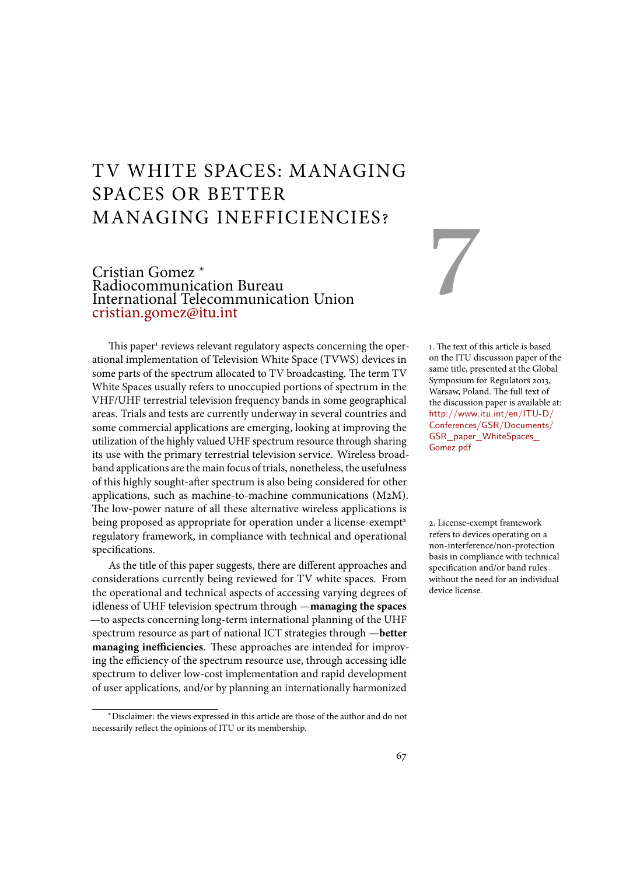# TV WHITE SPACES: MANAGING SPACES OR BETTER MANAGING INEFFICIENCIES?

# Cristian Gomez <sup>∗</sup> Radiocommunication Bureau International Telecommunication Union cristian.gomez@itu.int

This paper<sup>1</sup> reviews relevant regulatory aspects concerning the oper- 1. The text of this article is based ational implementation of Television White Space (TVWS) devices in some parts of the spectrum allocated to TV broadcasting. The term TV White Spaces usually refers to unoccupied portions of spectrum in the VHF/UHF terrestrial television frequency bands in some geographical areas. Trials and tests are currently underway in several countries and some commercial applications are emerging, looking at improving the utilization of the highly valued UHF spectrum resource through sharing its use with the primary terrestrial television service. Wireless broadband applications are the main focus of trials, nonetheless, the usefulness of this highly sought-after spectrum is also being considered for other applications, such as machine-to-machine communications (M2M). The low-power nature of all these alternative wireless applications is being proposed as appropriate for operation under a license-exempt<sup>2</sup> 2. License-exempt framework regulatory framework, in compliance with technical and operational specifications.

As the title of this paper suggests, there are different approaches and considerations currently being reviewed for TV white spaces. From the operational and technical aspects of accessing varying degrees of idleness of UHF television spectrum through —**managing the spaces** —to aspects concerning long-term international planning of the UHF spectrum resource as part of national ICT strategies through —**better managing inefficiencies**. These approaches are intended for improving the efficiency of the spectrum resource use, through accessing idle spectrum to deliver low-cost implementation and rapid development of user applications, and/or by planning an internationally harmonized

# 7

on the ITU discussion paper of the same title, presented at the Global Symposium for Regulators 2013, Warsaw, Poland. The full text of the discussion paper is available at: http://www.itu.int/en/ITU-D/ Conferences/GSR/Documents/ GSR\_paper\_WhiteSpaces\_ Gomez.pdf

refers to devices operating on a non-interference/non-protection basis in compliance with technical specification and/or band rules without the need for an individual device license.

<sup>∗</sup>Disclaimer: the views expressed in this article are those of the author and do not necessarily reflect the opinions of ITU or its membership.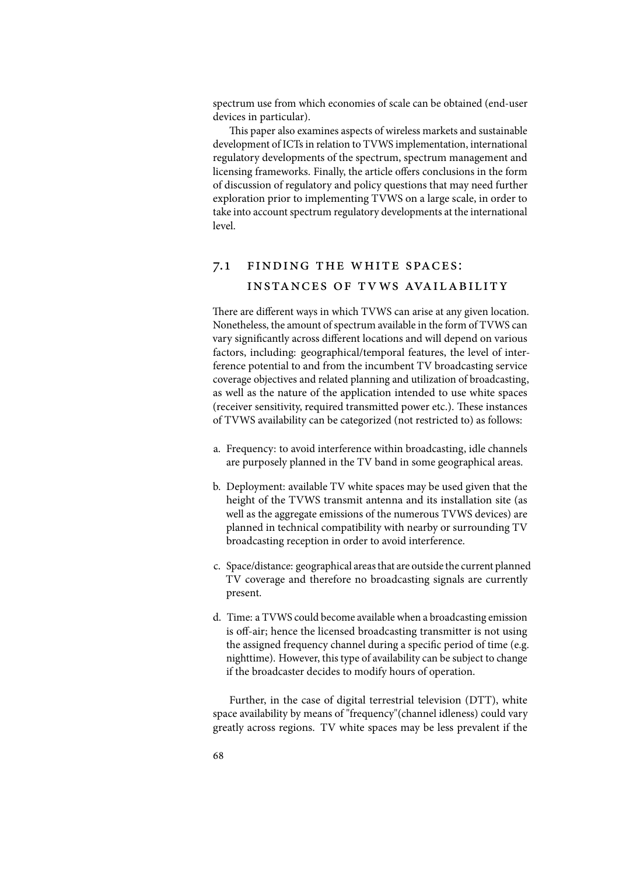spectrum use from which economies of scale can be obtained (end-user devices in particular).

This paper also examines aspects of wireless markets and sustainable development of ICTs in relation to TVWS implementation, international regulatory developments of the spectrum, spectrum management and licensing frameworks. Finally, the article offers conclusions in the form of discussion of regulatory and policy questions that may need further exploration prior to implementing TVWS on a large scale, in order to take into account spectrum regulatory developments at the international level.

# 7.1 finding the white spaces: INSTANCES OF TVWS AVAILABILITY

There are different ways in which TVWS can arise at any given location. Nonetheless, the amount of spectrum available in the form of TVWS can vary significantly across different locations and will depend on various factors, including: geographical/temporal features, the level of interference potential to and from the incumbent TV broadcasting service coverage objectives and related planning and utilization of broadcasting, as well as the nature of the application intended to use white spaces (receiver sensitivity, required transmitted power etc.). These instances of TVWS availability can be categorized (not restricted to) as follows:

- a. Frequency: to avoid interference within broadcasting, idle channels are purposely planned in the TV band in some geographical areas.
- b. Deployment: available TV white spaces may be used given that the height of the TVWS transmit antenna and its installation site (as well as the aggregate emissions of the numerous TVWS devices) are planned in technical compatibility with nearby or surrounding TV broadcasting reception in order to avoid interference.
- c. Space/distance: geographical areas that are outside the current planned TV coverage and therefore no broadcasting signals are currently present.
- d. Time: a TVWS could become available when a broadcasting emission is off-air; hence the licensed broadcasting transmitter is not using the assigned frequency channel during a specific period of time (e.g. nighttime). However, this type of availability can be subject to change if the broadcaster decides to modify hours of operation.

Further, in the case of digital terrestrial television (DTT), white space availability by means of "frequency"(channel idleness) could vary greatly across regions. TV white spaces may be less prevalent if the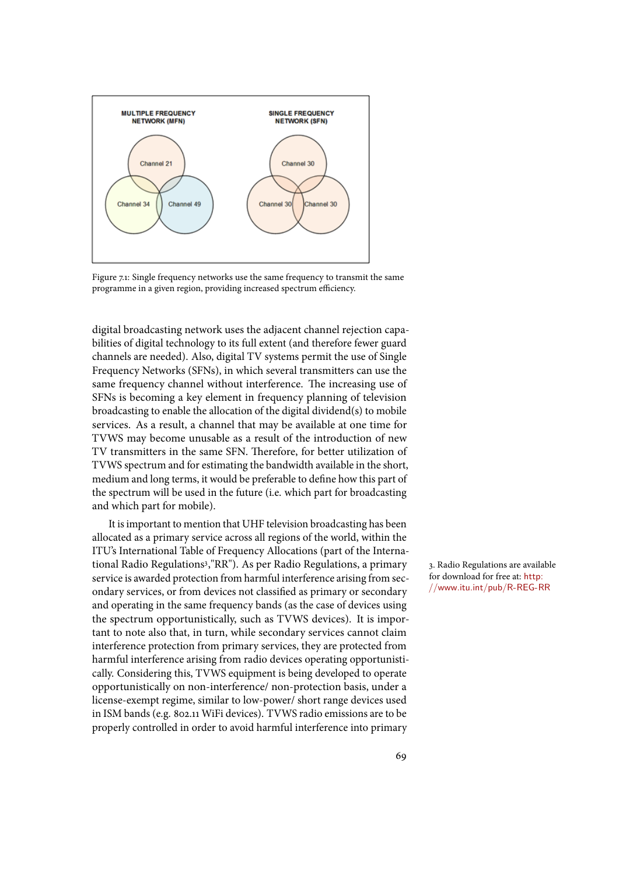

Figure 7.1: Single frequency networks use the same frequency to transmit the same programme in a given region, providing increased spectrum efficiency.

digital broadcasting network uses the adjacent channel rejection capabilities of digital technology to its full extent (and therefore fewer guard channels are needed). Also, digital TV systems permit the use of Single Frequency Networks (SFNs), in which several transmitters can use the same frequency channel without interference. The increasing use of SFNs is becoming a key element in frequency planning of television broadcasting to enable the allocation of the digital dividend(s) to mobile services. As a result, a channel that may be available at one time for TVWS may become unusable as a result of the introduction of new TV transmitters in the same SFN. Therefore, for better utilization of TVWS spectrum and for estimating the bandwidth available in the short, medium and long terms, it would be preferable to define how this part of the spectrum will be used in the future (i.e. which part for broadcasting and which part for mobile).

It is important to mention that UHF television broadcasting has been allocated as a primary service across all regions of the world, within the ITU's International Table of Frequency Allocations (part of the International Radio Regulations<sup>3</sup>,"RR"). As per Radio Regulations, a primary a. Radio Regulations are available service is awarded protection from harmful interference arising from secondary services, or from devices not classified as primary or secondary and operating in the same frequency bands (as the case of devices using the spectrum opportunistically, such as TVWS devices). It is important to note also that, in turn, while secondary services cannot claim interference protection from primary services, they are protected from harmful interference arising from radio devices operating opportunistically. Considering this, TVWS equipment is being developed to operate opportunistically on non-interference/ non-protection basis, under a license-exempt regime, similar to low-power/ short range devices used in ISM bands (e.g. 802.11 WiFi devices). TVWS radio emissions are to be properly controlled in order to avoid harmful interference into primary

for download for free at: http: //www.itu.int/pub/R-REG-RR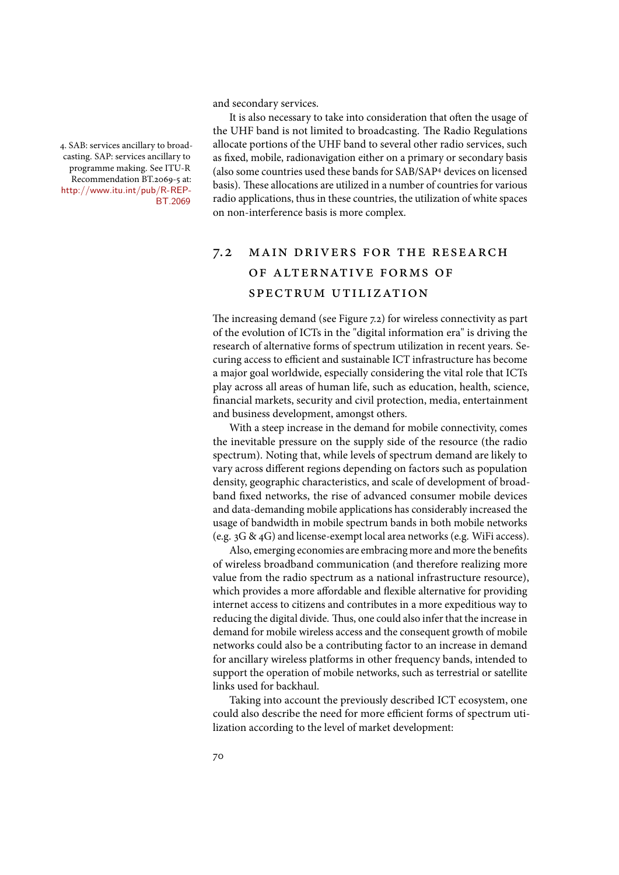and secondary services.

4. SAB: services ancillary to broadcasting. SAP: services ancillary to programme making. See ITU-R Recommendation BT.2069-5 at: http://www.itu.int/pub/R-REP-BT.2069

It is also necessary to take into consideration that often the usage of the UHF band is not limited to broadcasting. The Radio Regulations allocate portions of the UHF band to several other radio services, such as fixed, mobile, radionavigation either on a primary or secondary basis (also some countries used these bands for SAB/SAP<sup>4</sup> devices on licensed basis). These allocations are utilized in a number of countries for various radio applications, thus in these countries, the utilization of white spaces on non-interference basis is more complex.

# 7.2 main drivers for the research of alternative forms of spectrum utilization

The increasing demand (see Figure 7.2) for wireless connectivity as part of the evolution of ICTs in the "digital information era" is driving the research of alternative forms of spectrum utilization in recent years. Securing access to efficient and sustainable ICT infrastructure has become a major goal worldwide, especially considering the vital role that ICTs play across all areas of human life, such as education, health, science, financial markets, security and civil protection, media, entertainment and business development, amongst others.

With a steep increase in the demand for mobile connectivity, comes the inevitable pressure on the supply side of the resource (the radio spectrum). Noting that, while levels of spectrum demand are likely to vary across different regions depending on factors such as population density, geographic characteristics, and scale of development of broadband fixed networks, the rise of advanced consumer mobile devices and data-demanding mobile applications has considerably increased the usage of bandwidth in mobile spectrum bands in both mobile networks (e.g. 3G & 4G) and license-exempt local area networks (e.g. WiFi access).

Also, emerging economies are embracing more and more the benefits of wireless broadband communication (and therefore realizing more value from the radio spectrum as a national infrastructure resource), which provides a more affordable and flexible alternative for providing internet access to citizens and contributes in a more expeditious way to reducing the digital divide. Thus, one could also infer that the increase in demand for mobile wireless access and the consequent growth of mobile networks could also be a contributing factor to an increase in demand for ancillary wireless platforms in other frequency bands, intended to support the operation of mobile networks, such as terrestrial or satellite links used for backhaul.

Taking into account the previously described ICT ecosystem, one could also describe the need for more efficient forms of spectrum utilization according to the level of market development: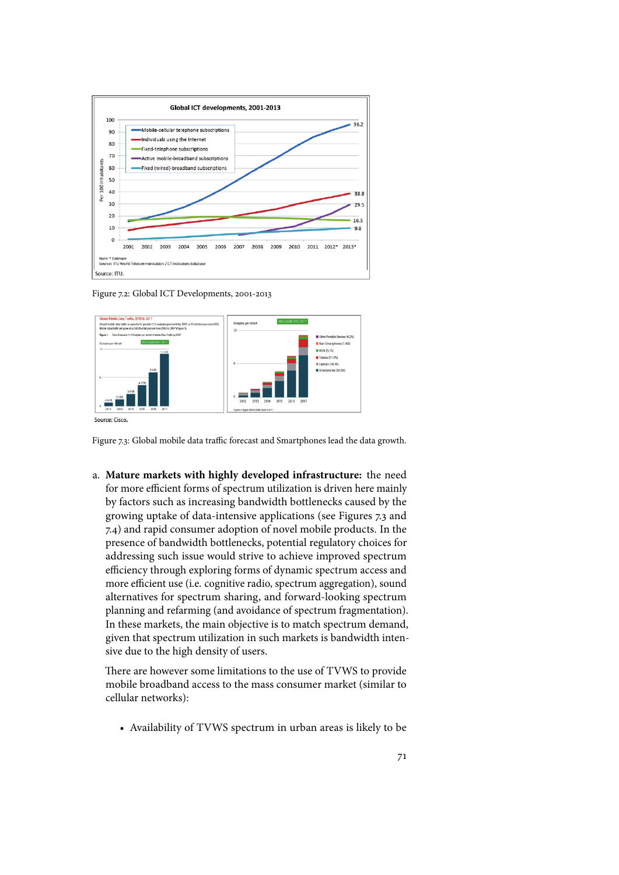

Figure 7.2: Global ICT Developments, 2001-2013



Figure 7.3: Global mobile data traffic forecast and Smartphones lead the data growth.

a. **Mature markets with highly developed infrastructure:** the need for more efficient forms of spectrum utilization is driven here mainly by factors such as increasing bandwidth bottlenecks caused by the growing uptake of data-intensive applications (see Figures 7.3 and 7.4) and rapid consumer adoption of novel mobile products. In the presence of bandwidth bottlenecks, potential regulatory choices for addressing such issue would strive to achieve improved spectrum efficiency through exploring forms of dynamic spectrum access and more efficient use (i.e. cognitive radio, spectrum aggregation), sound alternatives for spectrum sharing, and forward-looking spectrum planning and refarming (and avoidance of spectrum fragmentation). In these markets, the main objective is to match spectrum demand, given that spectrum utilization in such markets is bandwidth intensive due to the high density of users.

There are however some limitations to the use of TVWS to provide mobile broadband access to the mass consumer market (similar to cellular networks):

• Availability of TVWS spectrum in urban areas is likely to be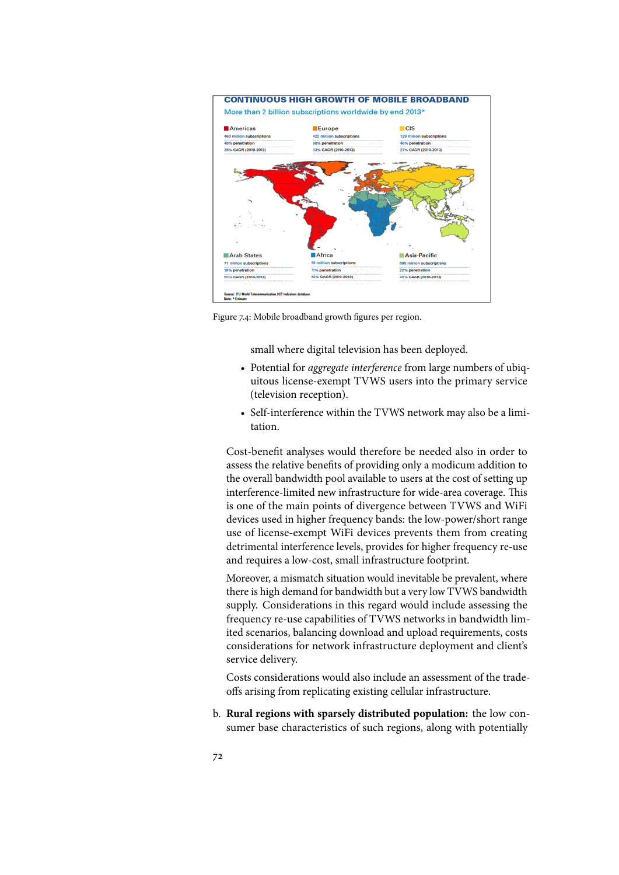

Figure 7.4: Mobile broadband growth figures per region.

small where digital television has been deployed.

- Potential for *aggregate interference* from large numbers of ubiquitous license-exempt TVWS users into the primary service (television reception).
- Self-interference within the TVWS network may also be a limitation.

Cost-benefit analyses would therefore be needed also in order to assess the relative benefits of providing only a modicum addition to the overall bandwidth pool available to users at the cost of setting up interference-limited new infrastructure for wide-area coverage. This is one of the main points of divergence between TVWS and WiFi devices used in higher frequency bands: the low-power/short range use of license-exempt WiFi devices prevents them from creating detrimental interference levels, provides for higher frequency re-use and requires a low-cost, small infrastructure footprint.

Moreover, a mismatch situation would inevitable be prevalent, where there is high demand for bandwidth but a very low TVWS bandwidth supply. Considerations in this regard would include assessing the frequency re-use capabilities of TVWS networks in bandwidth limited scenarios, balancing download and upload requirements, costs considerations for network infrastructure deployment and client's service delivery.

Costs considerations would also include an assessment of the tradeoffs arising from replicating existing cellular infrastructure.

b. **Rural regions with sparsely distributed population:** the low consumer base characteristics of such regions, along with potentially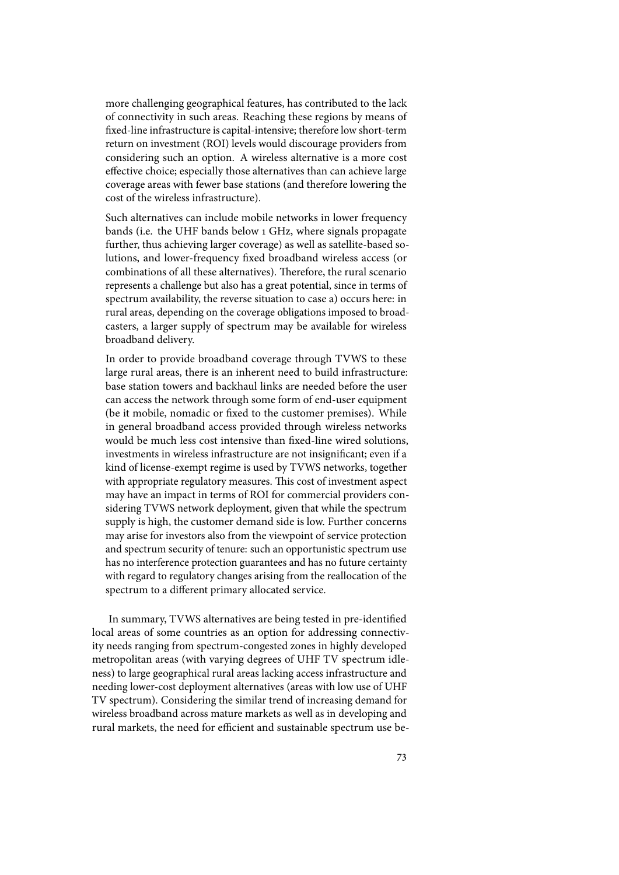more challenging geographical features, has contributed to the lack of connectivity in such areas. Reaching these regions by means of fixed-line infrastructure is capital-intensive; therefore low short-term return on investment (ROI) levels would discourage providers from considering such an option. A wireless alternative is a more cost effective choice; especially those alternatives than can achieve large coverage areas with fewer base stations (and therefore lowering the cost of the wireless infrastructure).

Such alternatives can include mobile networks in lower frequency bands (i.e. the UHF bands below 1 GHz, where signals propagate further, thus achieving larger coverage) as well as satellite-based solutions, and lower-frequency fixed broadband wireless access (or combinations of all these alternatives). Therefore, the rural scenario represents a challenge but also has a great potential, since in terms of spectrum availability, the reverse situation to case a) occurs here: in rural areas, depending on the coverage obligations imposed to broadcasters, a larger supply of spectrum may be available for wireless broadband delivery.

In order to provide broadband coverage through TVWS to these large rural areas, there is an inherent need to build infrastructure: base station towers and backhaul links are needed before the user can access the network through some form of end-user equipment (be it mobile, nomadic or fixed to the customer premises). While in general broadband access provided through wireless networks would be much less cost intensive than fixed-line wired solutions, investments in wireless infrastructure are not insignificant; even if a kind of license-exempt regime is used by TVWS networks, together with appropriate regulatory measures. This cost of investment aspect may have an impact in terms of ROI for commercial providers considering TVWS network deployment, given that while the spectrum supply is high, the customer demand side is low. Further concerns may arise for investors also from the viewpoint of service protection and spectrum security of tenure: such an opportunistic spectrum use has no interference protection guarantees and has no future certainty with regard to regulatory changes arising from the reallocation of the spectrum to a different primary allocated service.

In summary, TVWS alternatives are being tested in pre-identified local areas of some countries as an option for addressing connectivity needs ranging from spectrum-congested zones in highly developed metropolitan areas (with varying degrees of UHF TV spectrum idleness) to large geographical rural areas lacking access infrastructure and needing lower-cost deployment alternatives (areas with low use of UHF TV spectrum). Considering the similar trend of increasing demand for wireless broadband across mature markets as well as in developing and rural markets, the need for efficient and sustainable spectrum use be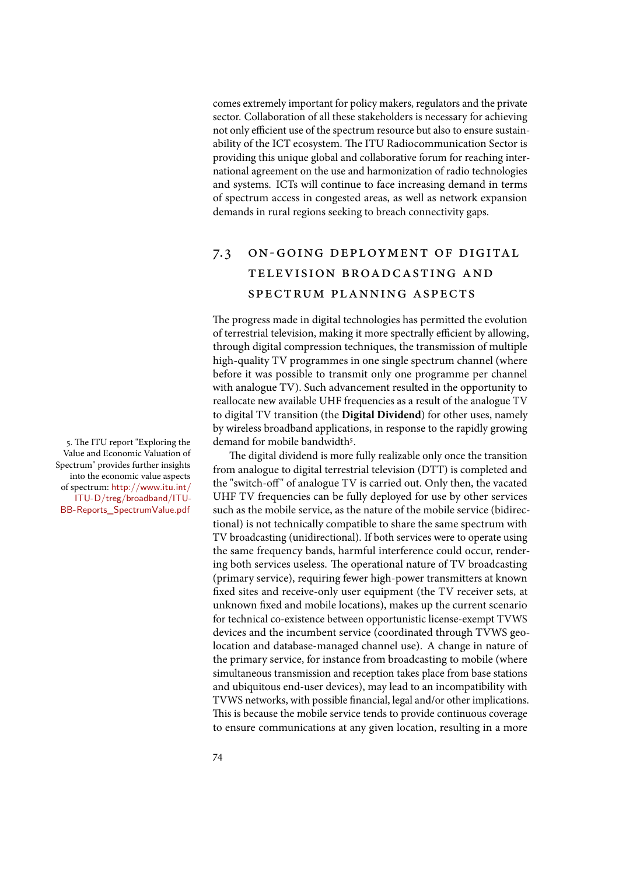comes extremely important for policy makers, regulators and the private sector. Collaboration of all these stakeholders is necessary for achieving not only efficient use of the spectrum resource but also to ensure sustainability of the ICT ecosystem. The ITU Radiocommunication Sector is providing this unique global and collaborative forum for reaching international agreement on the use and harmonization of radio technologies and systems. ICTs will continue to face increasing demand in terms of spectrum access in congested areas, as well as network expansion demands in rural regions seeking to breach connectivity gaps.

# 7.3 on-going deployment of digital television broadcasting and spectrum planning aspects

The progress made in digital technologies has permitted the evolution of terrestrial television, making it more spectrally efficient by allowing, through digital compression techniques, the transmission of multiple high-quality TV programmes in one single spectrum channel (where before it was possible to transmit only one programme per channel with analogue TV). Such advancement resulted in the opportunity to reallocate new available UHF frequencies as a result of the analogue TV to digital TV transition (the **Digital Dividend**) for other uses, namely by wireless broadband applications, in response to the rapidly growing 5. The ITU report "Exploring the demand for mobile bandwidth<sup>5</sup>.

> The digital dividend is more fully realizable only once the transition from analogue to digital terrestrial television (DTT) is completed and the "switch-off" of analogue TV is carried out. Only then, the vacated UHF TV frequencies can be fully deployed for use by other services such as the mobile service, as the nature of the mobile service (bidirectional) is not technically compatible to share the same spectrum with TV broadcasting (unidirectional). If both services were to operate using the same frequency bands, harmful interference could occur, rendering both services useless. The operational nature of TV broadcasting (primary service), requiring fewer high-power transmitters at known fixed sites and receive-only user equipment (the TV receiver sets, at unknown fixed and mobile locations), makes up the current scenario for technical co-existence between opportunistic license-exempt TVWS devices and the incumbent service (coordinated through TVWS geolocation and database-managed channel use). A change in nature of the primary service, for instance from broadcasting to mobile (where simultaneous transmission and reception takes place from base stations and ubiquitous end-user devices), may lead to an incompatibility with TVWS networks, with possible financial, legal and/or other implications. This is because the mobile service tends to provide continuous coverage to ensure communications at any given location, resulting in a more

Value and Economic Valuation of Spectrum" provides further insights into the economic value aspects of spectrum: http://www.itu.int/ ITU-D/treg/broadband/ITU-BB-Reports\_SpectrumValue.pdf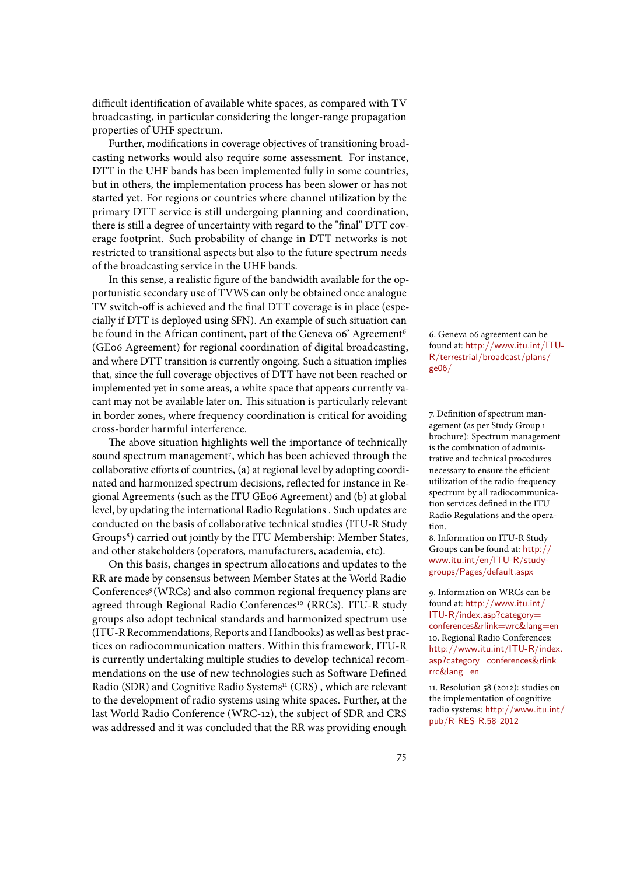difficult identification of available white spaces, as compared with TV broadcasting, in particular considering the longer-range propagation properties of UHF spectrum.

Further, modifications in coverage objectives of transitioning broadcasting networks would also require some assessment. For instance, DTT in the UHF bands has been implemented fully in some countries, but in others, the implementation process has been slower or has not started yet. For regions or countries where channel utilization by the primary DTT service is still undergoing planning and coordination, there is still a degree of uncertainty with regard to the "final" DTT coverage footprint. Such probability of change in DTT networks is not restricted to transitional aspects but also to the future spectrum needs of the broadcasting service in the UHF bands.

In this sense, a realistic figure of the bandwidth available for the opportunistic secondary use of TVWS can only be obtained once analogue TV switch-off is achieved and the final DTT coverage is in place (especially if DTT is deployed using SFN). An example of such situation can be found in the African continent, part of the Geneva 06' Agreement<sup>6</sup> 6. Geneva 06 agreement can be (GE06 Agreement) for regional coordination of digital broadcasting, and where DTT transition is currently ongoing. Such a situation implies that, since the full coverage objectives of DTT have not been reached or implemented yet in some areas, a white space that appears currently vacant may not be available later on. This situation is particularly relevant in border zones, where frequency coordination is critical for avoiding cross-border harmful interference.

The above situation highlights well the importance of technically sound spectrum management<sup>7</sup>, which has been achieved through the collaborative efforts of countries, (a) at regional level by adopting coordinated and harmonized spectrum decisions, reflected for instance in Regional Agreements (such as the ITU GE06 Agreement) and (b) at global level, by updating the international Radio Regulations . Such updates are conducted on the basis of collaborative technical studies (ITU-R Study Groups<sup>8</sup>) carried out jointly by the ITU Membership: Member States, a. Information on ITU-R Study and other stakeholders (operators, manufacturers, academia, etc).

On this basis, changes in spectrum allocations and updates to the RR are made by consensus between Member States at the World Radio Conferences<sup>9</sup> (WRCs) and also common regional frequency plans are yo . Information on WRCs can be agreed through Regional Radio Conferences<sup>10</sup> (RRCs). ITU-R study groups also adopt technical standards and harmonized spectrum use (ITU-R Recommendations, Reports and Handbooks) as well as best practices on radiocommunication matters. Within this framework, ITU-R is currently undertaking multiple studies to develop technical recommendations on the use of new technologies such as Software Defined Radio (SDR) and Cognitive Radio Systems<sup>11</sup> (CRS), which are relevant n. Resolution 58 (2012): studies on to the development of radio systems using white spaces. Further, at the last World Radio Conference (WRC-12), the subject of SDR and CRS was addressed and it was concluded that the RR was providing enough

found at: http://www.itu.int/ITU-R/terrestrial/broadcast/plans/ ge06/

7. Definition of spectrum management (as per Study Group 1 brochure): Spectrum management is the combination of administrative and technical procedures necessary to ensure the efficient utilization of the radio-frequency spectrum by all radiocommunication services defined in the ITU Radio Regulations and the operation.

Groups can be found at: http:// www.itu.int/en/ITU-R/studygroups/Pages/default.aspx

found at: http://www.itu.int/ ITU-R/index.asp?category= conferences&rlink=wrc&lang=en 10. Regional Radio Conferences: http://www.itu.int/ITU-R/index. asp?category=conferences&rlink= rrc&lang=en

the implementation of cognitive radio systems: http://www.itu.int/ pub/R-RES-R.58-2012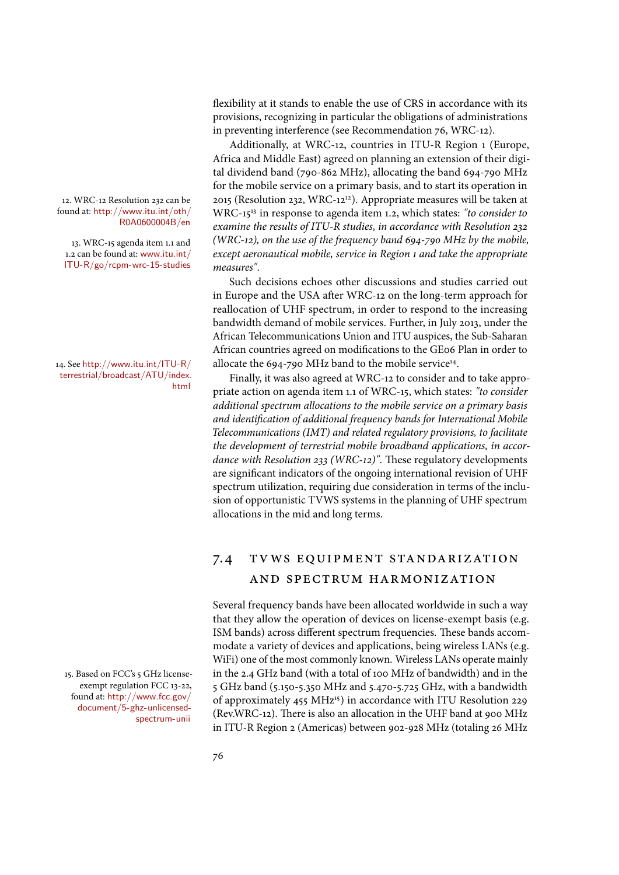found at: http://www.itu.int/oth/ R0A0600004B/en

13. WRC-15 agenda item 1.1 and 1.2 can be found at: www.itu.int/ ITU-R/go/rcpm-wrc-15-studies

terrestrial/broadcast/ATU/index. html

15. Based on FCC's 5 GHz licenseexempt regulation FCC 13-22, found at: http://www.fcc.gov/ document/5-ghz-unlicensedspectrum-unii

flexibility at it stands to enable the use of CRS in accordance with its provisions, recognizing in particular the obligations of administrations in preventing interference (see Recommendation 76, WRC-12).

Additionally, at WRC-12, countries in ITU-R Region 1 (Europe, Africa and Middle East) agreed on planning an extension of their digital dividend band (790-862 MHz), allocating the band 694-790 MHz for the mobile service on a primary basis, and to start its operation in 12. WRC-12 Resolution 232 can be 2015 (Resolution 232, WRC-12<sup>12</sup>). Appropriate measures will be taken at WRC-1513 in response to agenda item 1.2, which states: *"to consider to examine the results of ITU-R studies, in accordance with Resolution* 232 *(WRC-*12*), on the use of the frequency band* 694*-*790 *MHz by the mobile, except aeronautical mobile, service in Region* 1 *and take the appropriate measures"*.

Such decisions echoes other discussions and studies carried out in Europe and the USA after WRC-12 on the long-term approach for reallocation of UHF spectrum, in order to respond to the increasing bandwidth demand of mobile services. Further, in July 2013, under the African Telecommunications Union and ITU auspices, the Sub-Saharan African countries agreed on modifications to the GE06 Plan in order to 14. See http://www.itu.int/ITU-R/ $\qquad$  allocate the 694-790 MHz band to the mobile service $^{14}$ .

> Finally, it was also agreed at WRC-12 to consider and to take appropriate action on agenda item 1.1 of WRC-15, which states: *"to consider additional spectrum allocations to the mobile service on a primary basis and identi*)*cation of additional frequency bands for International Mobile Telecommunications (IMT) and related regulatory provisions, to facilitate the development of terrestrial mobile broadband applications, in accordance with Resolution 233 (WRC-12)"*. These regulatory developments are significant indicators of the ongoing international revision of UHF spectrum utilization, requiring due consideration in terms of the inclusion of opportunistic TVWS systems in the planning of UHF spectrum allocations in the mid and long terms.

# 7.4 tvws equipment standarization and spectrum harmonization

Several frequency bands have been allocated worldwide in such a way that they allow the operation of devices on license-exempt basis (e.g. ISM bands) across different spectrum frequencies. These bands accommodate a variety of devices and applications, being wireless LANs (e.g. WiFi) one of the most commonly known. Wireless LANs operate mainly in the 2.4 GHz band (with a total of 100 MHz of bandwidth) and in the 5 GHz band (5.150-5.350 MHz and 5.470-5.725 GHz, with a bandwidth of approximately 455 MHz<sup>15</sup>) in accordance with ITU Resolution 229 (Rev.WRC-12). There is also an allocation in the UHF band at 900 MHz in ITU-R Region 2 (Americas) between 902-928 MHz (totaling 26 MHz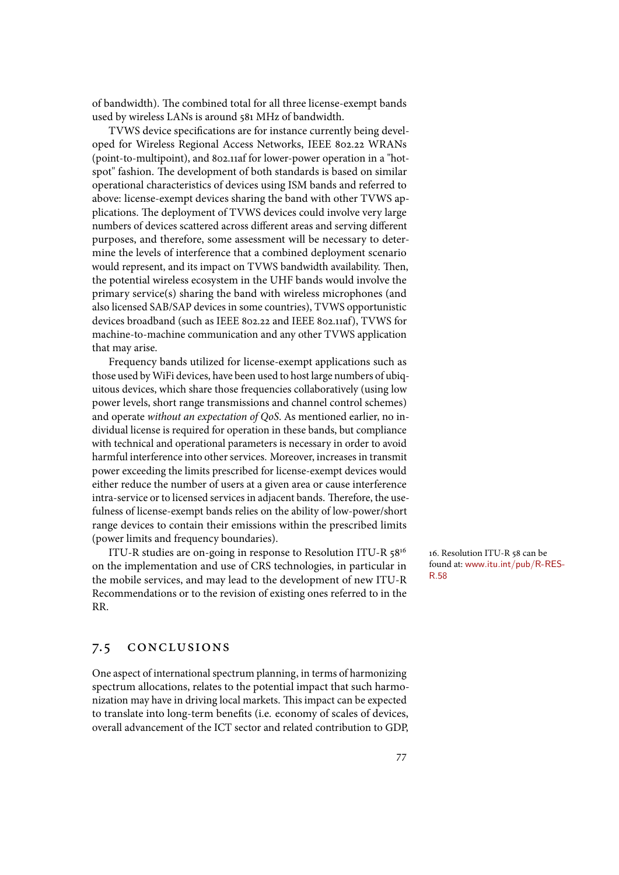of bandwidth). The combined total for all three license-exempt bands used by wireless LANs is around 581 MHz of bandwidth.

TVWS device specifications are for instance currently being developed for Wireless Regional Access Networks, IEEE 802.22 WRANs (point-to-multipoint), and 802.11af for lower-power operation in a "hotspot" fashion. The development of both standards is based on similar operational characteristics of devices using ISM bands and referred to above: license-exempt devices sharing the band with other TVWS applications. The deployment of TVWS devices could involve very large numbers of devices scattered across different areas and serving different purposes, and therefore, some assessment will be necessary to determine the levels of interference that a combined deployment scenario would represent, and its impact on TVWS bandwidth availability. Then, the potential wireless ecosystem in the UHF bands would involve the primary service(s) sharing the band with wireless microphones (and also licensed SAB/SAP devices in some countries), TVWS opportunistic devices broadband (such as IEEE 802.22 and IEEE 802.11af), TVWS for machine-to-machine communication and any other TVWS application that may arise.

Frequency bands utilized for license-exempt applications such as those used by WiFi devices, have been used to host large numbers of ubiquitous devices, which share those frequencies collaboratively (using low power levels, short range transmissions and channel control schemes) and operate *without an expectation of QoS*. As mentioned earlier, no individual license is required for operation in these bands, but compliance with technical and operational parameters is necessary in order to avoid harmful interference into other services. Moreover, increases in transmit power exceeding the limits prescribed for license-exempt devices would either reduce the number of users at a given area or cause interference intra-service or to licensed services in adjacent bands. Therefore, the usefulness of license-exempt bands relies on the ability of low-power/short range devices to contain their emissions within the prescribed limits (power limits and frequency boundaries).

ITU-R studies are on-going in response to Resolution ITU-R 58<sup>16</sup> 16. Resolution ITU-R 58 can be on the implementation and use of CRS technologies, in particular in  $\frac{6 \text{ cm}}{8.58}$ the mobile services, and may lead to the development of new ITU-R Recommendations or to the revision of existing ones referred to in the RR.

### 7.5 conclusions

One aspect of international spectrum planning, in terms of harmonizing spectrum allocations, relates to the potential impact that such harmonization may have in driving local markets. This impact can be expected to translate into long-term benefits (i.e. economy of scales of devices, overall advancement of the ICT sector and related contribution to GDP, found at: www.itu.int/pub/R-RES-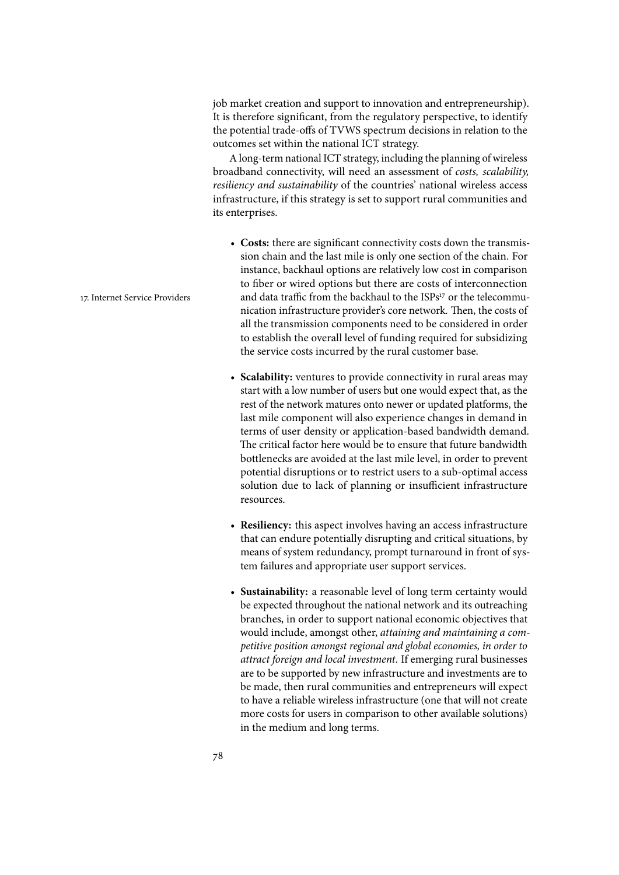job market creation and support to innovation and entrepreneurship). It is therefore significant, from the regulatory perspective, to identify the potential trade-offs of TVWS spectrum decisions in relation to the outcomes set within the national ICT strategy.

A long-term national ICT strategy, including the planning of wireless broadband connectivity, will need an assessment of *costs, scalability, resiliency and sustainability* of the countries' national wireless access infrastructure, if this strategy is set to support rural communities and its enterprises.

- Costs: there are significant connectivity costs down the transmission chain and the last mile is only one section of the chain. For instance, backhaul options are relatively low cost in comparison to fiber or wired options but there are costs of interconnection 17. Internet Service Providers and data traffic from the backhaul to the ISPs<sup>17</sup> or the telecommunication infrastructure provider's core network. Then, the costs of all the transmission components need to be considered in order to establish the overall level of funding required for subsidizing the service costs incurred by the rural customer base.
	- **Scalability:** ventures to provide connectivity in rural areas may start with a low number of users but one would expect that, as the rest of the network matures onto newer or updated platforms, the last mile component will also experience changes in demand in terms of user density or application-based bandwidth demand. The critical factor here would be to ensure that future bandwidth bottlenecks are avoided at the last mile level, in order to prevent potential disruptions or to restrict users to a sub-optimal access solution due to lack of planning or insufficient infrastructure resources.
	- **Resiliency:** this aspect involves having an access infrastructure that can endure potentially disrupting and critical situations, by means of system redundancy, prompt turnaround in front of system failures and appropriate user support services.
	- **Sustainability:** a reasonable level of long term certainty would be expected throughout the national network and its outreaching branches, in order to support national economic objectives that would include, amongst other, *attaining and maintaining a competitive position amongst regional and global economies, in order to attract foreign and local investment*. If emerging rural businesses are to be supported by new infrastructure and investments are to be made, then rural communities and entrepreneurs will expect to have a reliable wireless infrastructure (one that will not create more costs for users in comparison to other available solutions) in the medium and long terms.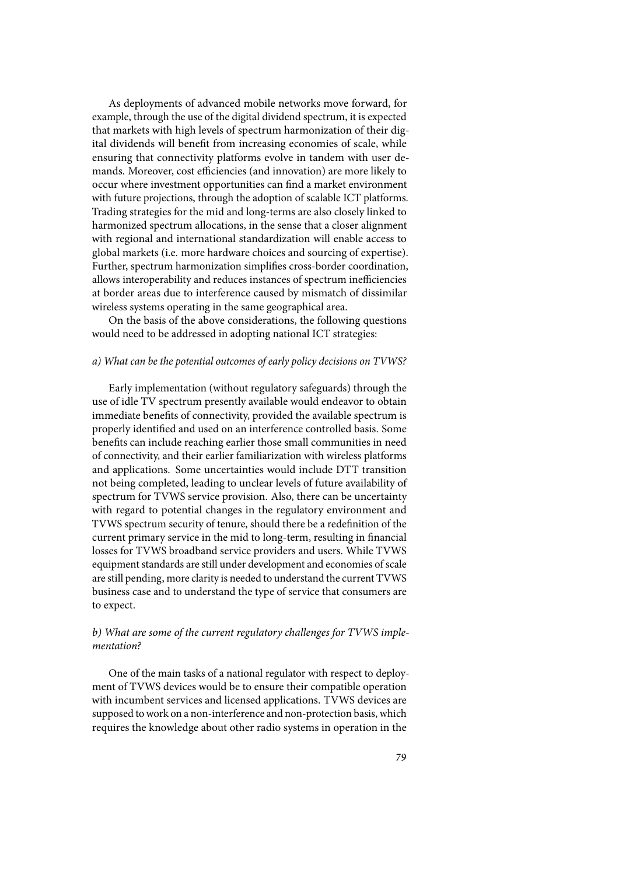As deployments of advanced mobile networks move forward, for example, through the use of the digital dividend spectrum, it is expected that markets with high levels of spectrum harmonization of their digital dividends will benefit from increasing economies of scale, while ensuring that connectivity platforms evolve in tandem with user demands. Moreover, cost efficiencies (and innovation) are more likely to occur where investment opportunities can find a market environment with future projections, through the adoption of scalable ICT platforms. Trading strategies for the mid and long-terms are also closely linked to harmonized spectrum allocations, in the sense that a closer alignment with regional and international standardization will enable access to global markets (i.e. more hardware choices and sourcing of expertise). Further, spectrum harmonization simplifies cross-border coordination, allows interoperability and reduces instances of spectrum inefficiencies at border areas due to interference caused by mismatch of dissimilar wireless systems operating in the same geographical area.

On the basis of the above considerations, the following questions would need to be addressed in adopting national ICT strategies:

### *a) What can be the potential outcomes of early policy decisions on TVWS?*

Early implementation (without regulatory safeguards) through the use of idle TV spectrum presently available would endeavor to obtain immediate benefits of connectivity, provided the available spectrum is properly identified and used on an interference controlled basis. Some benefits can include reaching earlier those small communities in need of connectivity, and their earlier familiarization with wireless platforms and applications. Some uncertainties would include DTT transition not being completed, leading to unclear levels of future availability of spectrum for TVWS service provision. Also, there can be uncertainty with regard to potential changes in the regulatory environment and TVWS spectrum security of tenure, should there be a redefinition of the current primary service in the mid to long-term, resulting in financial losses for TVWS broadband service providers and users. While TVWS equipment standards are still under development and economies of scale are still pending, more clarity is needed to understand the current TVWS business case and to understand the type of service that consumers are to expect.

## *b) What are some of the current regulatory challenges for TVWS implementation?*

One of the main tasks of a national regulator with respect to deployment of TVWS devices would be to ensure their compatible operation with incumbent services and licensed applications. TVWS devices are supposed to work on a non-interference and non-protection basis, which requires the knowledge about other radio systems in operation in the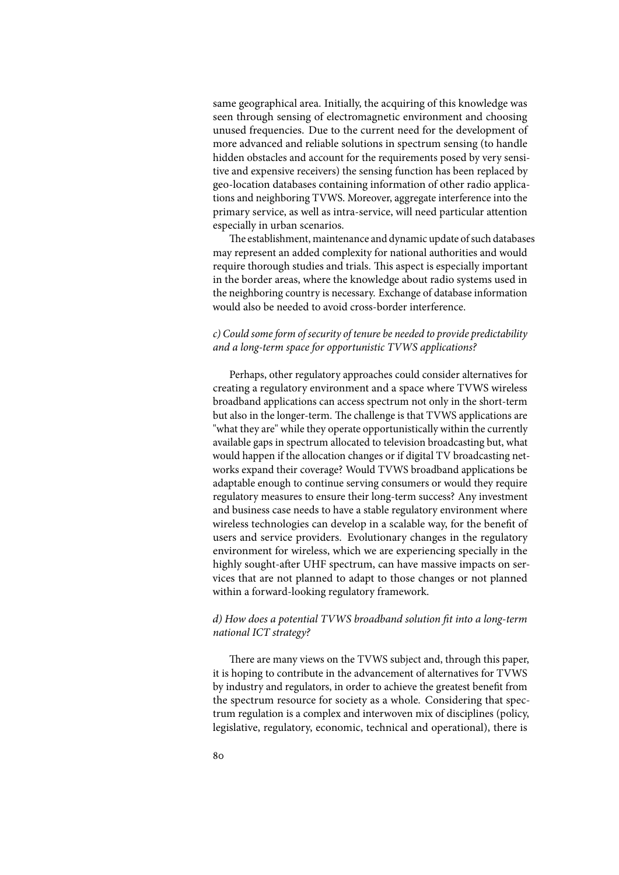same geographical area. Initially, the acquiring of this knowledge was seen through sensing of electromagnetic environment and choosing unused frequencies. Due to the current need for the development of more advanced and reliable solutions in spectrum sensing (to handle hidden obstacles and account for the requirements posed by very sensitive and expensive receivers) the sensing function has been replaced by geo-location databases containing information of other radio applications and neighboring TVWS. Moreover, aggregate interference into the primary service, as well as intra-service, will need particular attention especially in urban scenarios.

The establishment, maintenance and dynamic update of such databases may represent an added complexity for national authorities and would require thorough studies and trials. This aspect is especially important in the border areas, where the knowledge about radio systems used in the neighboring country is necessary. Exchange of database information would also be needed to avoid cross-border interference.

## *c) Could some form of security of tenure be needed to provide predictability and a long-term space for opportunistic TVWS applications?*

Perhaps, other regulatory approaches could consider alternatives for creating a regulatory environment and a space where TVWS wireless broadband applications can access spectrum not only in the short-term but also in the longer-term. The challenge is that TVWS applications are "what they are" while they operate opportunistically within the currently available gaps in spectrum allocated to television broadcasting but, what would happen if the allocation changes or if digital TV broadcasting networks expand their coverage? Would TVWS broadband applications be adaptable enough to continue serving consumers or would they require regulatory measures to ensure their long-term success? Any investment and business case needs to have a stable regulatory environment where wireless technologies can develop in a scalable way, for the benefit of users and service providers. Evolutionary changes in the regulatory environment for wireless, which we are experiencing specially in the highly sought-after UHF spectrum, can have massive impacts on services that are not planned to adapt to those changes or not planned within a forward-looking regulatory framework.

### *d) How does a potential TVWS broadband solution* )*t into a long-term national ICT strategy?*

There are many views on the TVWS subject and, through this paper, it is hoping to contribute in the advancement of alternatives for TVWS by industry and regulators, in order to achieve the greatest benefit from the spectrum resource for society as a whole. Considering that spectrum regulation is a complex and interwoven mix of disciplines (policy, legislative, regulatory, economic, technical and operational), there is